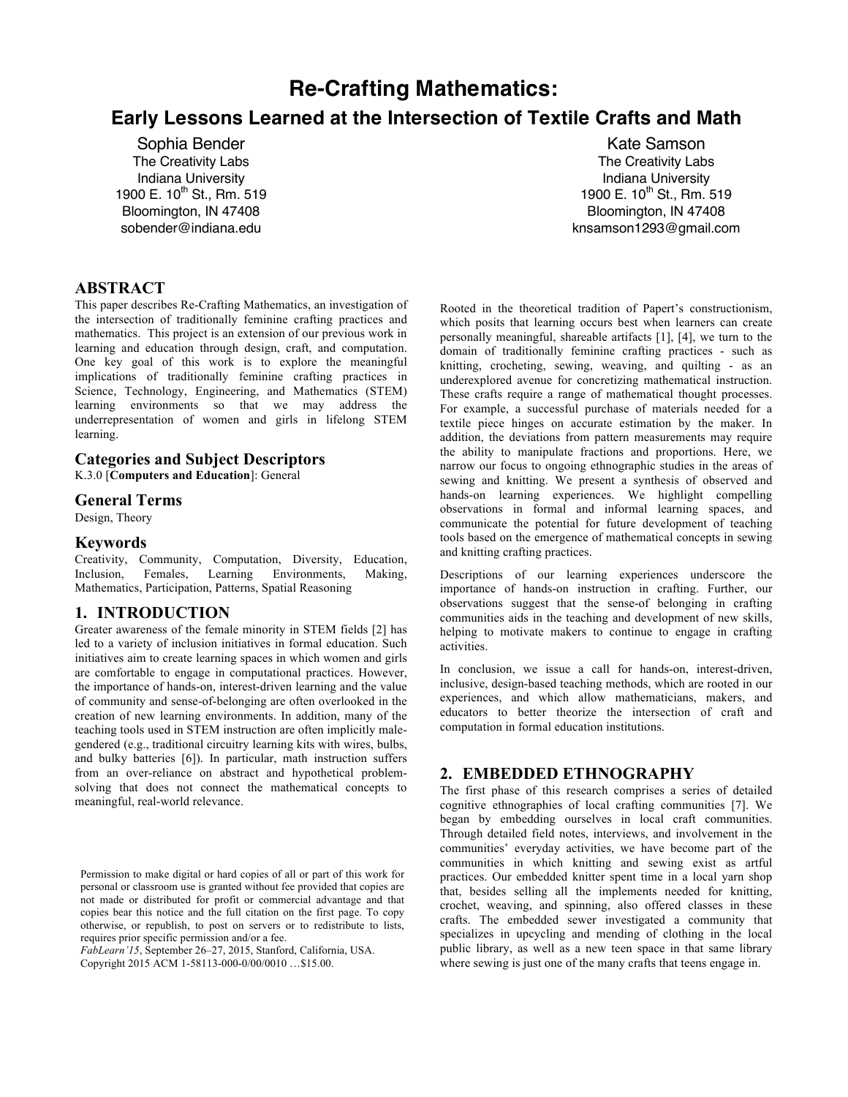# **Re-Crafting Mathematics: Early Lessons Learned at the Intersection of Textile Crafts and Math**

Sophia Bender The Creativity Labs Indiana University 1900 E.  $10^{th}$  St., Rm. 519 Bloomington, IN 47408 sobender@indiana.edu

## **ABSTRACT**

This paper describes Re-Crafting Mathematics, an investigation of the intersection of traditionally feminine crafting practices and mathematics. This project is an extension of our previous work in learning and education through design, craft, and computation. One key goal of this work is to explore the meaningful implications of traditionally feminine crafting practices in Science, Technology, Engineering, and Mathematics (STEM) learning environments so that we may address the underrepresentation of women and girls in lifelong STEM learning.

#### **Categories and Subject Descriptors** K.3.0 [**Computers and Education**]: General

#### **General Terms**

Design, Theory

#### **Keywords**

Creativity, Community, Computation, Diversity, Education, Inclusion, Females, Learning Environments, Making, Mathematics, Participation, Patterns, Spatial Reasoning

## **1. INTRODUCTION**

Greater awareness of the female minority in STEM fields [2] has led to a variety of inclusion initiatives in formal education. Such initiatives aim to create learning spaces in which women and girls are comfortable to engage in computational practices. However, the importance of hands-on, interest-driven learning and the value of community and sense-of-belonging are often overlooked in the creation of new learning environments. In addition, many of the teaching tools used in STEM instruction are often implicitly malegendered (e.g., traditional circuitry learning kits with wires, bulbs, and bulky batteries [6]). In particular, math instruction suffers from an over-reliance on abstract and hypothetical problemsolving that does not connect the mathematical concepts to meaningful, real-world relevance.

*FabLearn'15*, September 26–27, 2015, Stanford, California, USA.

Copyright 2015 ACM 1-58113-000-0/00/0010 …\$15.00.

Kate Samson The Creativity Labs Indiana University 1900 E. 10<sup>th</sup> St., Rm. 519 Bloomington, IN 47408 knsamson1293@gmail.com

Rooted in the theoretical tradition of Papert's constructionism, which posits that learning occurs best when learners can create personally meaningful, shareable artifacts [1], [4], we turn to the domain of traditionally feminine crafting practices - such as knitting, crocheting, sewing, weaving, and quilting - as an underexplored avenue for concretizing mathematical instruction. These crafts require a range of mathematical thought processes. For example, a successful purchase of materials needed for a textile piece hinges on accurate estimation by the maker. In addition, the deviations from pattern measurements may require the ability to manipulate fractions and proportions. Here, we narrow our focus to ongoing ethnographic studies in the areas of sewing and knitting. We present a synthesis of observed and hands-on learning experiences. We highlight compelling observations in formal and informal learning spaces, and communicate the potential for future development of teaching tools based on the emergence of mathematical concepts in sewing and knitting crafting practices.

Descriptions of our learning experiences underscore the importance of hands-on instruction in crafting. Further, our observations suggest that the sense-of belonging in crafting communities aids in the teaching and development of new skills, helping to motivate makers to continue to engage in crafting activities.

In conclusion, we issue a call for hands-on, interest-driven, inclusive, design-based teaching methods, which are rooted in our experiences, and which allow mathematicians, makers, and educators to better theorize the intersection of craft and computation in formal education institutions.

## **2. EMBEDDED ETHNOGRAPHY**

The first phase of this research comprises a series of detailed cognitive ethnographies of local crafting communities [7]. We began by embedding ourselves in local craft communities. Through detailed field notes, interviews, and involvement in the communities' everyday activities, we have become part of the communities in which knitting and sewing exist as artful practices. Our embedded knitter spent time in a local yarn shop that, besides selling all the implements needed for knitting, crochet, weaving, and spinning, also offered classes in these crafts. The embedded sewer investigated a community that specializes in upcycling and mending of clothing in the local public library, as well as a new teen space in that same library where sewing is just one of the many crafts that teens engage in.

Permission to make digital or hard copies of all or part of this work for personal or classroom use is granted without fee provided that copies are not made or distributed for profit or commercial advantage and that copies bear this notice and the full citation on the first page. To copy otherwise, or republish, to post on servers or to redistribute to lists, requires prior specific permission and/or a fee.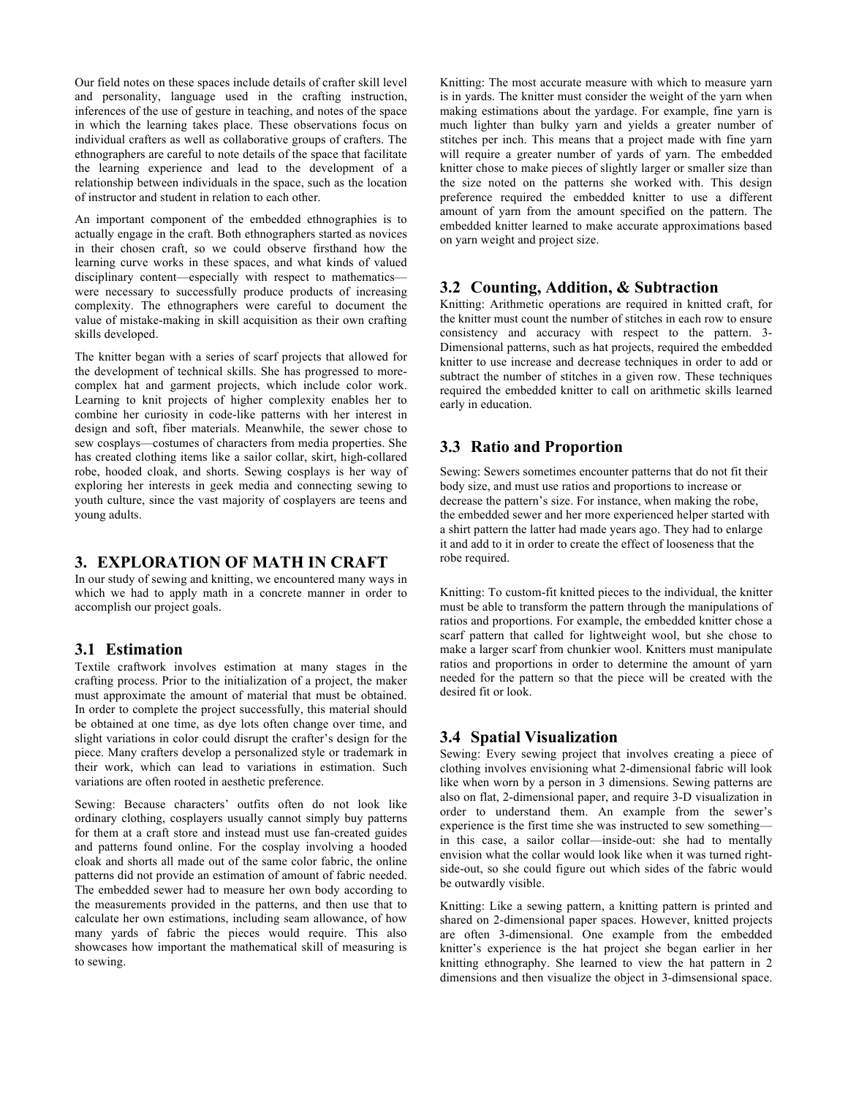Our field notes on these spaces include details of crafter skill level and personality, language used in the crafting instruction, inferences of the use of gesture in teaching, and notes of the space in which the learning takes place. These observations focus on individual crafters as well as collaborative groups of crafters. The ethnographers are careful to note details of the space that facilitate the learning experience and lead to the development of a relationship between individuals in the space, such as the location of instructor and student in relation to each other.

An important component of the embedded ethnographies is to actually engage in the craft. Both ethnographers started as novices in their chosen craft, so we could observe firsthand how the learning curve works in these spaces, and what kinds of valued disciplinary content—especially with respect to mathematics were necessary to successfully produce products of increasing complexity. The ethnographers were careful to document the value of mistake-making in skill acquisition as their own crafting skills developed.

The knitter began with a series of scarf projects that allowed for the development of technical skills. She has progressed to morecomplex hat and garment projects, which include color work. Learning to knit projects of higher complexity enables her to combine her curiosity in code-like patterns with her interest in design and soft, fiber materials. Meanwhile, the sewer chose to sew cosplays—costumes of characters from media properties. She has created clothing items like a sailor collar, skirt, high-collared robe, hooded cloak, and shorts. Sewing cosplays is her way of exploring her interests in geek media and connecting sewing to youth culture, since the vast majority of cosplayers are teens and young adults.

#### **3. EXPLORATION OF MATH IN CRAFT**

In our study of sewing and knitting, we encountered many ways in which we had to apply math in a concrete manner in order to accomplish our project goals.

## **3.1 Estimation**

Textile craftwork involves estimation at many stages in the crafting process. Prior to the initialization of a project, the maker must approximate the amount of material that must be obtained. In order to complete the project successfully, this material should be obtained at one time, as dye lots often change over time, and slight variations in color could disrupt the crafter's design for the piece. Many crafters develop a personalized style or trademark in their work, which can lead to variations in estimation. Such variations are often rooted in aesthetic preference.

Sewing: Because characters' outfits often do not look like ordinary clothing, cosplayers usually cannot simply buy patterns for them at a craft store and instead must use fan-created guides and patterns found online. For the cosplay involving a hooded cloak and shorts all made out of the same color fabric, the online patterns did not provide an estimation of amount of fabric needed. The embedded sewer had to measure her own body according to the measurements provided in the patterns, and then use that to calculate her own estimations, including seam allowance, of how many yards of fabric the pieces would require. This also showcases how important the mathematical skill of measuring is to sewing.

Knitting: The most accurate measure with which to measure yarn is in yards. The knitter must consider the weight of the yarn when making estimations about the yardage. For example, fine yarn is much lighter than bulky yarn and yields a greater number of stitches per inch. This means that a project made with fine yarn will require a greater number of yards of yarn. The embedded knitter chose to make pieces of slightly larger or smaller size than the size noted on the patterns she worked with. This design preference required the embedded knitter to use a different amount of yarn from the amount specified on the pattern. The embedded knitter learned to make accurate approximations based on yarn weight and project size.

## **3.2 Counting, Addition, & Subtraction**

Knitting: Arithmetic operations are required in knitted craft, for the knitter must count the number of stitches in each row to ensure consistency and accuracy with respect to the pattern. 3- Dimensional patterns, such as hat projects, required the embedded knitter to use increase and decrease techniques in order to add or subtract the number of stitches in a given row. These techniques required the embedded knitter to call on arithmetic skills learned early in education.

## **3.3 Ratio and Proportion**

Sewing: Sewers sometimes encounter patterns that do not fit their body size, and must use ratios and proportions to increase or decrease the pattern's size. For instance, when making the robe, the embedded sewer and her more experienced helper started with a shirt pattern the latter had made years ago. They had to enlarge it and add to it in order to create the effect of looseness that the robe required.

Knitting: To custom-fit knitted pieces to the individual, the knitter must be able to transform the pattern through the manipulations of ratios and proportions. For example, the embedded knitter chose a scarf pattern that called for lightweight wool, but she chose to make a larger scarf from chunkier wool. Knitters must manipulate ratios and proportions in order to determine the amount of yarn needed for the pattern so that the piece will be created with the desired fit or look.

## **3.4 Spatial Visualization**

Sewing: Every sewing project that involves creating a piece of clothing involves envisioning what 2-dimensional fabric will look like when worn by a person in 3 dimensions. Sewing patterns are also on flat, 2-dimensional paper, and require 3-D visualization in order to understand them. An example from the sewer's experience is the first time she was instructed to sew something in this case, a sailor collar—inside-out: she had to mentally envision what the collar would look like when it was turned rightside-out, so she could figure out which sides of the fabric would be outwardly visible.

Knitting: Like a sewing pattern, a knitting pattern is printed and shared on 2-dimensional paper spaces. However, knitted projects are often 3-dimensional. One example from the embedded knitter's experience is the hat project she began earlier in her knitting ethnography. She learned to view the hat pattern in 2 dimensions and then visualize the object in 3-dimsensional space.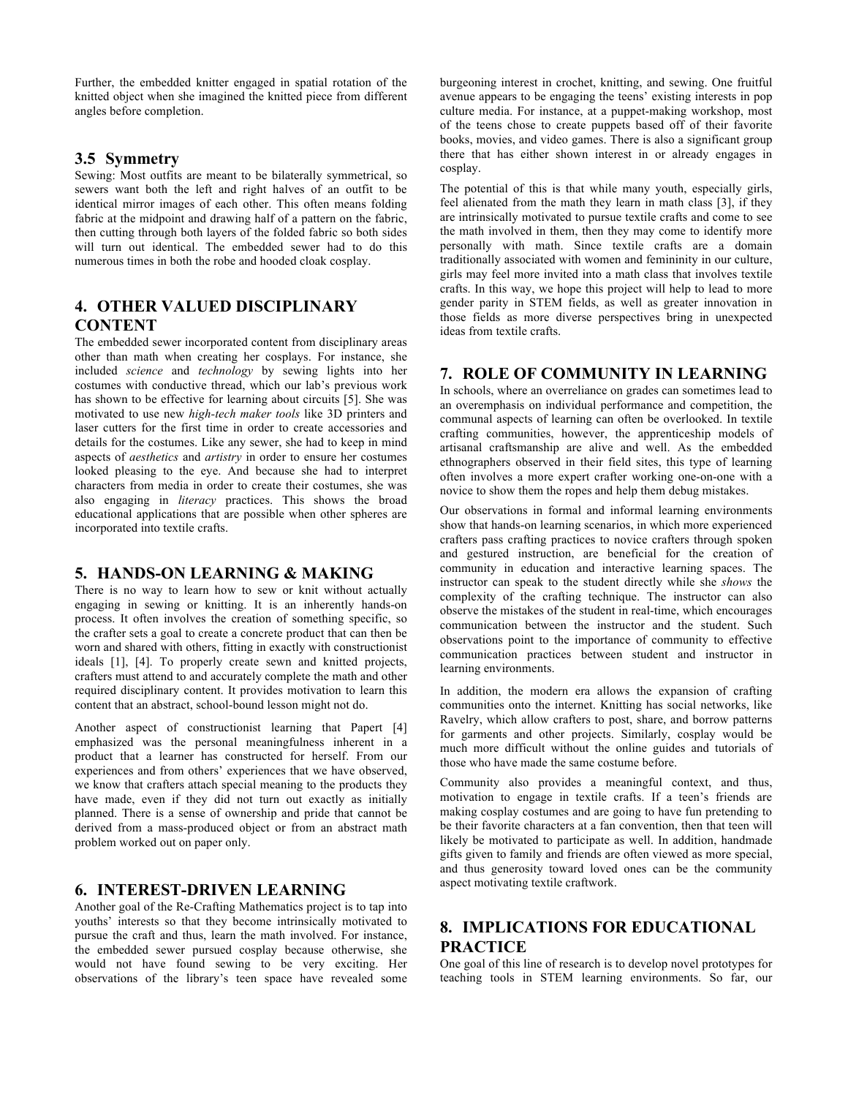Further, the embedded knitter engaged in spatial rotation of the knitted object when she imagined the knitted piece from different angles before completion.

## **3.5 Symmetry**

Sewing: Most outfits are meant to be bilaterally symmetrical, so sewers want both the left and right halves of an outfit to be identical mirror images of each other. This often means folding fabric at the midpoint and drawing half of a pattern on the fabric, then cutting through both layers of the folded fabric so both sides will turn out identical. The embedded sewer had to do this numerous times in both the robe and hooded cloak cosplay.

## **4. OTHER VALUED DISCIPLINARY CONTENT**

The embedded sewer incorporated content from disciplinary areas other than math when creating her cosplays. For instance, she included *science* and *technology* by sewing lights into her costumes with conductive thread, which our lab's previous work has shown to be effective for learning about circuits [5]. She was motivated to use new *high-tech maker tools* like 3D printers and laser cutters for the first time in order to create accessories and details for the costumes. Like any sewer, she had to keep in mind aspects of *aesthetics* and *artistry* in order to ensure her costumes looked pleasing to the eye. And because she had to interpret characters from media in order to create their costumes, she was also engaging in *literacy* practices. This shows the broad educational applications that are possible when other spheres are incorporated into textile crafts.

## **5. HANDS-ON LEARNING & MAKING**

There is no way to learn how to sew or knit without actually engaging in sewing or knitting. It is an inherently hands-on process. It often involves the creation of something specific, so the crafter sets a goal to create a concrete product that can then be worn and shared with others, fitting in exactly with constructionist ideals [1], [4]. To properly create sewn and knitted projects, crafters must attend to and accurately complete the math and other required disciplinary content. It provides motivation to learn this content that an abstract, school-bound lesson might not do.

Another aspect of constructionist learning that Papert [4] emphasized was the personal meaningfulness inherent in a product that a learner has constructed for herself. From our experiences and from others' experiences that we have observed, we know that crafters attach special meaning to the products they have made, even if they did not turn out exactly as initially planned. There is a sense of ownership and pride that cannot be derived from a mass-produced object or from an abstract math problem worked out on paper only.

## **6. INTEREST-DRIVEN LEARNING**

Another goal of the Re-Crafting Mathematics project is to tap into youths' interests so that they become intrinsically motivated to pursue the craft and thus, learn the math involved. For instance, the embedded sewer pursued cosplay because otherwise, she would not have found sewing to be very exciting. Her observations of the library's teen space have revealed some burgeoning interest in crochet, knitting, and sewing. One fruitful avenue appears to be engaging the teens' existing interests in pop culture media. For instance, at a puppet-making workshop, most of the teens chose to create puppets based off of their favorite books, movies, and video games. There is also a significant group there that has either shown interest in or already engages in cosplay.

The potential of this is that while many youth, especially girls, feel alienated from the math they learn in math class [3], if they are intrinsically motivated to pursue textile crafts and come to see the math involved in them, then they may come to identify more personally with math. Since textile crafts are a domain traditionally associated with women and femininity in our culture, girls may feel more invited into a math class that involves textile crafts. In this way, we hope this project will help to lead to more gender parity in STEM fields, as well as greater innovation in those fields as more diverse perspectives bring in unexpected ideas from textile crafts.

## **7. ROLE OF COMMUNITY IN LEARNING**

In schools, where an overreliance on grades can sometimes lead to an overemphasis on individual performance and competition, the communal aspects of learning can often be overlooked. In textile crafting communities, however, the apprenticeship models of artisanal craftsmanship are alive and well. As the embedded ethnographers observed in their field sites, this type of learning often involves a more expert crafter working one-on-one with a novice to show them the ropes and help them debug mistakes.

Our observations in formal and informal learning environments show that hands-on learning scenarios, in which more experienced crafters pass crafting practices to novice crafters through spoken and gestured instruction, are beneficial for the creation of community in education and interactive learning spaces. The instructor can speak to the student directly while she *shows* the complexity of the crafting technique. The instructor can also observe the mistakes of the student in real-time, which encourages communication between the instructor and the student. Such observations point to the importance of community to effective communication practices between student and instructor in learning environments.

In addition, the modern era allows the expansion of crafting communities onto the internet. Knitting has social networks, like Ravelry, which allow crafters to post, share, and borrow patterns for garments and other projects. Similarly, cosplay would be much more difficult without the online guides and tutorials of those who have made the same costume before.

Community also provides a meaningful context, and thus, motivation to engage in textile crafts. If a teen's friends are making cosplay costumes and are going to have fun pretending to be their favorite characters at a fan convention, then that teen will likely be motivated to participate as well. In addition, handmade gifts given to family and friends are often viewed as more special, and thus generosity toward loved ones can be the community aspect motivating textile craftwork.

# **8. IMPLICATIONS FOR EDUCATIONAL PRACTICE**

One goal of this line of research is to develop novel prototypes for teaching tools in STEM learning environments. So far, our